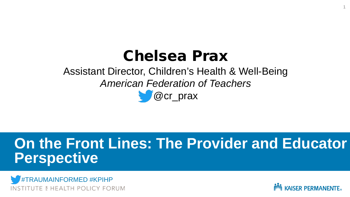### Chelsea Prax

### Assistant Director, Children's Health & Well-Being *American Federation of Teachers* **C**  $\alpha$  or prax

### **On the Front Lines: The Provider and Educator Perspective**





1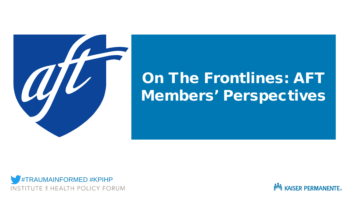

## On The Frontlines: AFT Members' Perspectives



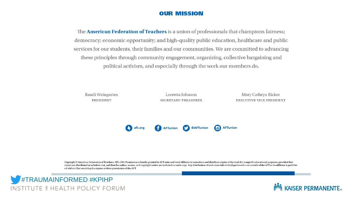#### **OUR MISSION**

The **American Federation of Teachers** is a union of professionals that champions fairness; democracy; economic opportunity; and high-quality public education, healthcare and public services for our students, their families and our communities. We are committed to advancing these principles through community engagement, organizing, collective bargaining and political activism, and especially through the work our members do.

Randi Weingarten PRESIDENT

Lorretta Johnson **SECRETARY-TREASURER** 

Mary Cathryn Ricker **EXECUTIVE VICE PRESIDENT** 



Copyright © American Federation of Teachers, AFL-CIO. Permission is hereby granted to AFT state and local affiliates to reproduce and distribute copies of the work for nonprofit educational purposes, provided that copies are distributed at or below cost, and that the author, source, and copyright notice are included on each copy. Any distribution of such materials to third parties who are outside of the AFT or its affiliates is proh ed without first receiving the express written permission of the AFT.



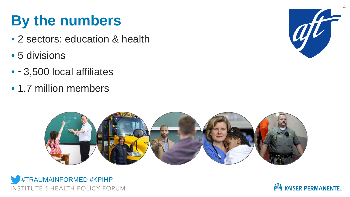# **By the numbers**

- 2 sectors: education & health
- 5 divisions
- ~3,500 local affiliates
- 1.7 million members







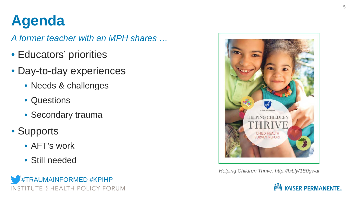# **Agenda**

*A former teacher with an MPH shares …*

- Educators' priorities
- Day-to-day experiences
	- Needs & challenges
	- Questions
	- Secondary trauma
- Supports
	- AFT's work
	- Still needed





*Helping Children Thrive: http://bit.ly/1E0gwai*

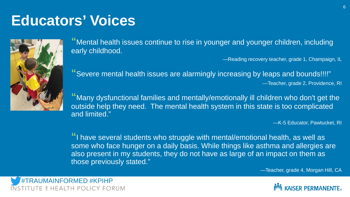### **Educators' Voices**



**"**Mental health issues continue to rise in younger and younger children, including early childhood.

—Reading recovery teacher, grade 1, Champaign, IL

**"**Severe mental health issues are alarmingly increasing by leaps and bounds!!!!" —Teacher, grade 2, Providence, RI

**"**Many dysfunctional families and mentally/emotionally ill children who don't get the outside help they need. The mental health system in this state is too complicated and limited."

—K-5 Educator, Pawtucket, RI

**"**I have several students who struggle with mental/emotional health, as well as some who face hunger on a daily basis. While things like asthma and allergies are also present in my students, they do not have as large of an impact on them as those previously stated."

—Teacher, grade 4, Morgan Hill, CA



#TRAUMAINFORMED #KPIHPE & HEALTH POLICY FORUM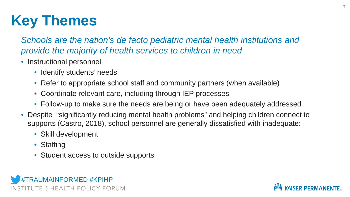# **Key Themes**

*Schools are the nation's de facto pediatric mental health institutions and provide the majority of health services to children in need*

- Instructional personnel
	- Identify students' needs
	- Refer to appropriate school staff and community partners (when available)
	- Coordinate relevant care, including through IEP processes
	- Follow-up to make sure the needs are being or have been adequately addressed
- Despite "significantly reducing mental health problems" and helping children connect to supports (Castro, 2018), school personnel are generally dissatisfied with inadequate:
	- Skill development
	- Staffing
	- Student access to outside supports



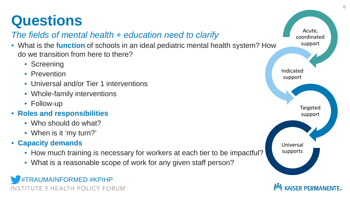# **Questions**

#### *The fields of mental health + education need to clarify*

- What is the **function** of schools in an ideal pediatric mental health system? How do we transition from here to there?
	- Screening
	- Prevention
	- Universal and/or Tier 1 interventions
	- Whole-family interventions
	- Follow-up
- **Roles and responsibilities**
	- Who should do what?
	- When is it 'my turn?'
- **Capacity demands**
	- How much training is necessary for workers at each tier to be impactful?
	- What is a reasonable scope of work for any given staff person?



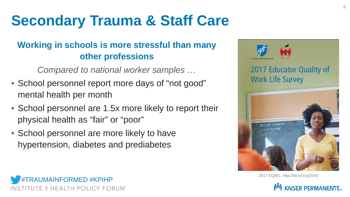# **Secondary Trauma & Staff Care**

#### **Working in schools is more stressful than many other professions**

*Compared to national worker samples …*

- School personnel report more days of "not good" mental health per month
- School personnel are 1.5x more likely to report their physical health as "fair" or "poor"
- School personnel are more likely to have hypertension, diabetes and prediabetes



2017 EQWL: http://bit.ly/2zyQVID



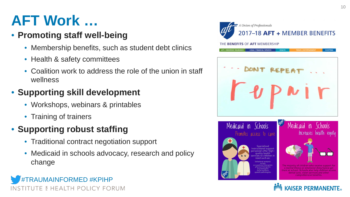# **AFT Work …**

#### • **Promoting staff well-being**

- Membership benefits, such as student debt clinics
- Health & safety committees
- Coalition work to address the role of the union in staff wellness

### • **Supporting skill development**

- Workshops, webinars & printables
- Training of trainers

### • **Supporting robust staffing**

- Traditional contract negotiation support
- Medicaid in schools advocacy, research and policy change